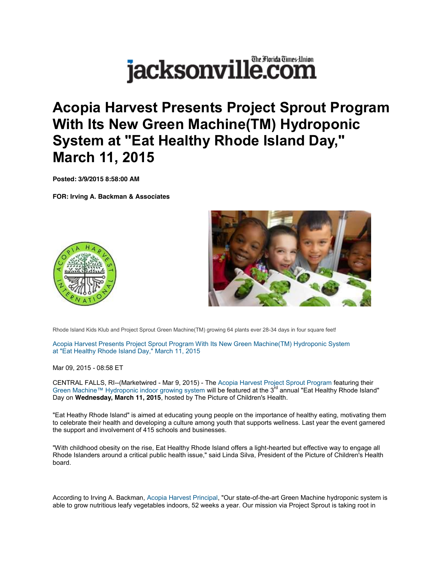## The Florida Times-Union jacksonville.com

**Acopia Harvest Presents Project Sprout Program With Its New Green Machine(TM) Hydroponic System at "Eat Healthy Rhode Island Day," March 11, 2015** 

**Posted: 3/9/2015 8:58:00 AM**

**FOR: Irving A. Backman & Associates**





Rhode Island Kids Klub and Project Sprout Green Machine(TM) growing 64 plants ever 28-34 days in four square feet!

Acopia Harvest Presents Project Sprout Program With Its New Green Machine(TM) Hydroponic System at "Eat Healthy Rhode Island Day," March 11, 2015

Mar 09, 2015 - 08:58 ET

CENTRAL FALLS, RI--(Marketwired - Mar 9, 2015) - The Acopia Harvest Project Sprout Program featuring their Green Machine™ Hydroponic indoor growing system will be featured at the 3<sup>rd</sup> annual "Eat Healthy Rhode Island" Day on **Wednesday, March 11, 2015**, hosted by The Picture of Children's Health.

"Eat Heathy Rhode Island" is aimed at educating young people on the importance of healthy eating, motivating them to celebrate their health and developing a culture among youth that supports wellness. Last year the event garnered the support and involvement of 415 schools and businesses.

"With childhood obesity on the rise, Eat Healthy Rhode Island offers a light-hearted but effective way to engage all Rhode Islanders around a critical public health issue," said Linda Silva, President of the Picture of Children's Health board.

According to Irving A. Backman, Acopia Harvest Principal, "Our state-of-the-art Green Machine hydroponic system is able to grow nutritious leafy vegetables indoors, 52 weeks a year. Our mission via Project Sprout is taking root in